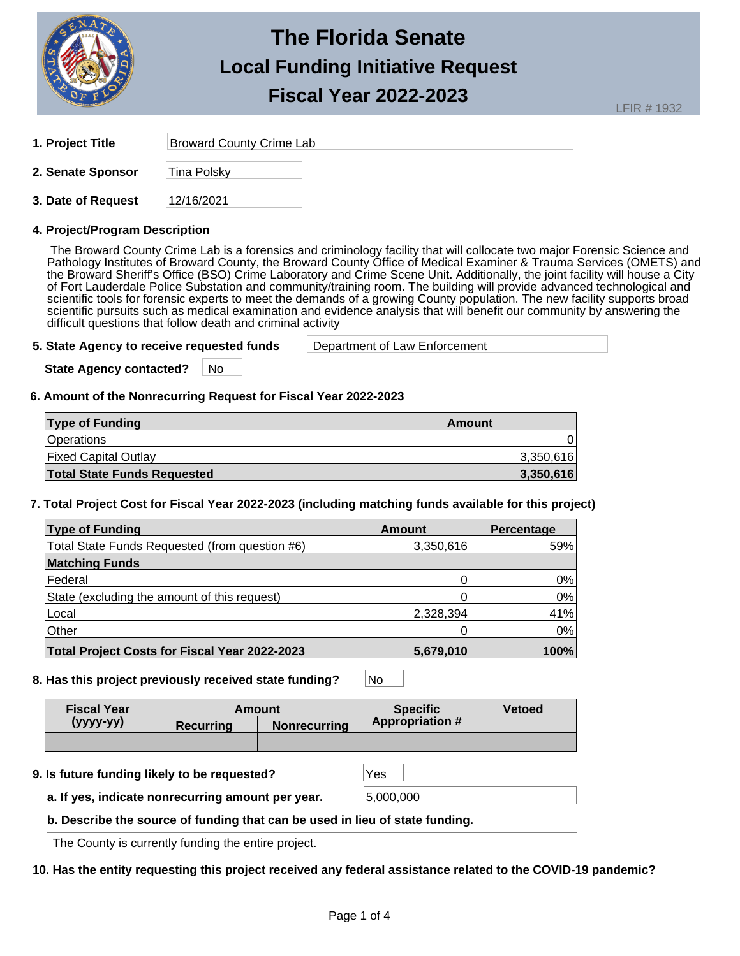

LFIR # 1932

| 1. Project Title | <b>Broward County Crime Lab</b> |
|------------------|---------------------------------|
|                  |                                 |

**2. Senate Sponsor** Tina Polsky

| 12/16/2021<br>3. Date of Request |
|----------------------------------|
|----------------------------------|

## **4. Project/Program Description**

The Broward County Crime Lab is a forensics and criminology facility that will collocate two major Forensic Science and Pathology Institutes of Broward County, the Broward County Office of Medical Examiner & Trauma Services (OMETS) and the Broward Sheriff's Office (BSO) Crime Laboratory and Crime Scene Unit. Additionally, the joint facility will house a City of Fort Lauderdale Police Substation and community/training room. The building will provide advanced technological and scientific tools for forensic experts to meet the demands of a growing County population. The new facility supports broad scientific pursuits such as medical examination and evidence analysis that will benefit our community by answering the difficult questions that follow death and criminal activity

**5. State Agency to receive requested funds** Department of Law Enforcement

**State Agency contacted?** No

## **6. Amount of the Nonrecurring Request for Fiscal Year 2022-2023**

| <b>Type of Funding</b>             | Amount    |
|------------------------------------|-----------|
| <b>Operations</b>                  |           |
| <b>Fixed Capital Outlay</b>        | 3,350,616 |
| <b>Total State Funds Requested</b> | 3,350,616 |

**7. Total Project Cost for Fiscal Year 2022-2023 (including matching funds available for this project)** 

| <b>Type of Funding</b>                               | Amount    | Percentage |
|------------------------------------------------------|-----------|------------|
| Total State Funds Requested (from question #6)       | 3,350,616 | 59%        |
| <b>Matching Funds</b>                                |           |            |
| <b>Federal</b>                                       |           | 0%         |
| State (excluding the amount of this request)         |           | 0%         |
| Local                                                | 2,328,394 | 41%        |
| Other                                                |           | 0%         |
| <b>Total Project Costs for Fiscal Year 2022-2023</b> | 5,679,010 | 100%       |

**8. Has this project previously received state funding?** No

| <b>Fiscal Year</b> | <b>Amount</b>                                |     | <b>Specific</b>        | <b>Vetoed</b> |
|--------------------|----------------------------------------------|-----|------------------------|---------------|
| $(yyy-yy)$         | Recurring<br><b>Nonrecurring</b>             |     | <b>Appropriation #</b> |               |
|                    |                                              |     |                        |               |
|                    | 9. Is future funding likely to be requested? | Yes |                        |               |

**a. If yes, indicate nonrecurring amount per year.** 5,000,000

**b. Describe the source of funding that can be used in lieu of state funding.**

The County is currently funding the entire project.

**10. Has the entity requesting this project received any federal assistance related to the COVID-19 pandemic?**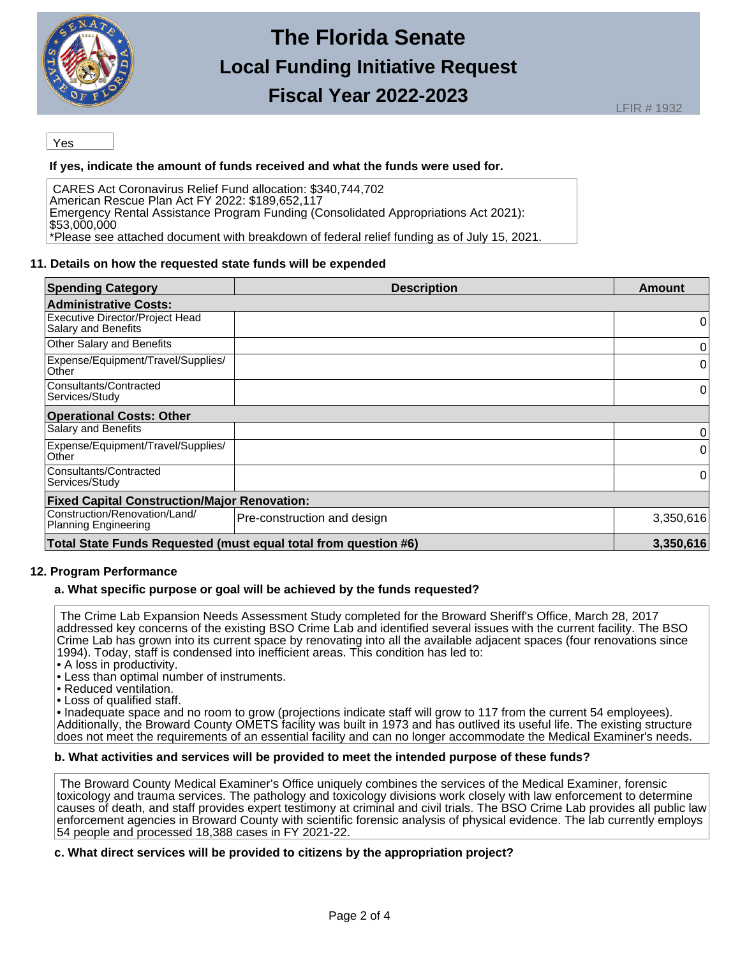

Yes

## **If yes, indicate the amount of funds received and what the funds were used for.**

CARES Act Coronavirus Relief Fund allocation: \$340,744,702 American Rescue Plan Act FY 2022: \$189,652,117 Emergency Rental Assistance Program Funding (Consolidated Appropriations Act 2021): \$53,000,000 \*Please see attached document with breakdown of federal relief funding as of July 15, 2021.

#### **11. Details on how the requested state funds will be expended**

| <b>Spending Category</b>                                                     | <b>Description</b>          | Amount    |  |
|------------------------------------------------------------------------------|-----------------------------|-----------|--|
| <b>Administrative Costs:</b>                                                 |                             |           |  |
| Executive Director/Project Head<br>Salary and Benefits                       |                             | 0         |  |
| Other Salary and Benefits                                                    |                             | 0         |  |
| Expense/Equipment/Travel/Supplies/<br>Other                                  |                             | 0         |  |
| Consultants/Contracted<br>Services/Study                                     |                             | 0         |  |
| <b>Operational Costs: Other</b>                                              |                             |           |  |
| Salary and Benefits                                                          |                             | 0         |  |
| Expense/Equipment/Travel/Supplies/<br>Other                                  |                             | 0         |  |
| Consultants/Contracted<br>Services/Study                                     |                             | 0         |  |
| <b>Fixed Capital Construction/Major Renovation:</b>                          |                             |           |  |
| Construction/Renovation/Land/<br><b>Planning Engineering</b>                 | Pre-construction and design | 3,350,616 |  |
| Total State Funds Requested (must equal total from question #6)<br>3.350,616 |                             |           |  |

## **12. Program Performance**

#### **a. What specific purpose or goal will be achieved by the funds requested?**

The Crime Lab Expansion Needs Assessment Study completed for the Broward Sheriff's Office, March 28, 2017 addressed key concerns of the existing BSO Crime Lab and identified several issues with the current facility. The BSO Crime Lab has grown into its current space by renovating into all the available adjacent spaces (four renovations since 1994). Today, staff is condensed into inefficient areas. This condition has led to:

- A loss in productivity.
- Less than optimal number of instruments.
- Reduced ventilation.
- Loss of qualified staff.

• Inadequate space and no room to grow (projections indicate staff will grow to 117 from the current 54 employees). Additionally, the Broward County OMETS facility was built in 1973 and has outlived its useful life. The existing structure does not meet the requirements of an essential facility and can no longer accommodate the Medical Examiner's needs.

#### **b. What activities and services will be provided to meet the intended purpose of these funds?**

The Broward County Medical Examiner's Office uniquely combines the services of the Medical Examiner, forensic toxicology and trauma services. The pathology and toxicology divisions work closely with law enforcement to determine causes of death, and staff provides expert testimony at criminal and civil trials. The BSO Crime Lab provides all public law enforcement agencies in Broward County with scientific forensic analysis of physical evidence. The lab currently employs 54 people and processed 18,388 cases in FY 2021-22.

#### **c. What direct services will be provided to citizens by the appropriation project?**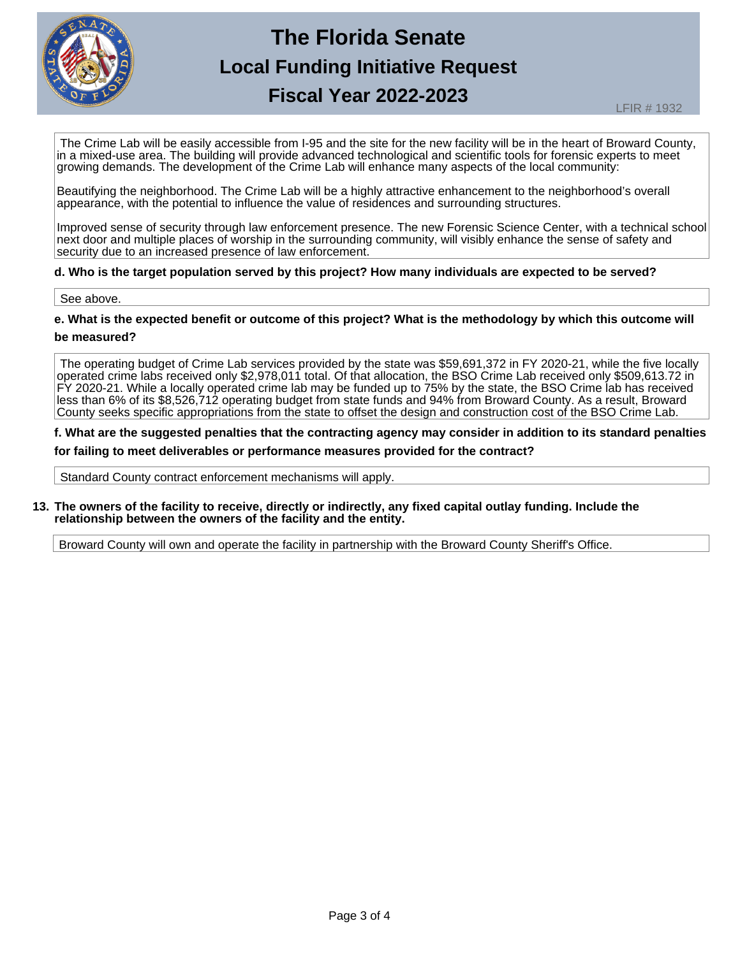

The Crime Lab will be easily accessible from I-95 and the site for the new facility will be in the heart of Broward County, in a mixed-use area. The building will provide advanced technological and scientific tools for forensic experts to meet growing demands. The development of the Crime Lab will enhance many aspects of the local community:

Beautifying the neighborhood. The Crime Lab will be a highly attractive enhancement to the neighborhood's overall appearance, with the potential to influence the value of residences and surrounding structures.

Improved sense of security through law enforcement presence. The new Forensic Science Center, with a technical school next door and multiple places of worship in the surrounding community, will visibly enhance the sense of safety and security due to an increased presence of law enforcement.

#### **d. Who is the target population served by this project? How many individuals are expected to be served?**

#### See above.

**e. What is the expected benefit or outcome of this project? What is the methodology by which this outcome will**

#### **be measured?**

The operating budget of Crime Lab services provided by the state was \$59,691,372 in FY 2020-21, while the five locally operated crime labs received only \$2,978,011 total. Of that allocation, the BSO Crime Lab received only \$509,613.72 in FY 2020-21. While a locally operated crime lab may be funded up to 75% by the state, the BSO Crime lab has received less than 6% of its \$8,526,712 operating budget from state funds and 94% from Broward County. As a result, Broward County seeks specific appropriations from the state to offset the design and construction cost of the BSO Crime Lab.

**f. What are the suggested penalties that the contracting agency may consider in addition to its standard penalties for failing to meet deliverables or performance measures provided for the contract?** 

Standard County contract enforcement mechanisms will apply.

#### **13. The owners of the facility to receive, directly or indirectly, any fixed capital outlay funding. Include the relationship between the owners of the facility and the entity.**

Broward County will own and operate the facility in partnership with the Broward County Sheriff's Office.